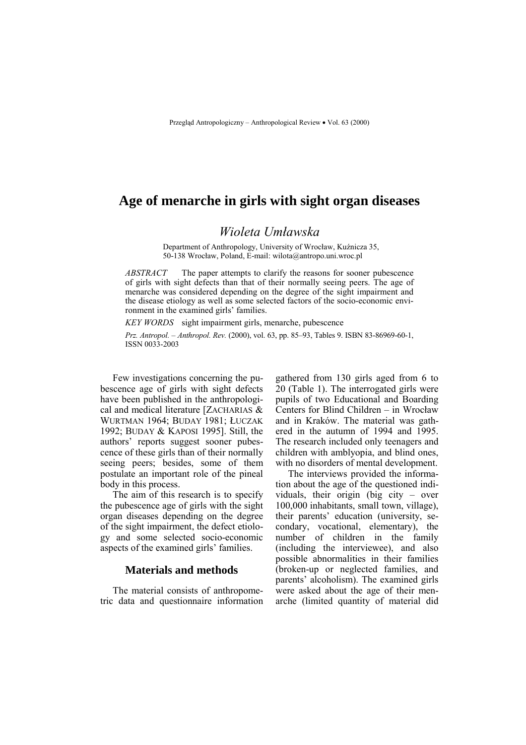# **Age of menarche in girls with sight organ diseases**

## *Wioleta Umławska*

Department of Anthropology, University of Wrocław, Kuźnicza 35, 50-138 Wrocław, Poland, E-mail: wilota@antropo.uni.wroc.pl

*ABSTRACT* The paper attempts to clarify the reasons for sooner pubescence of girls with sight defects than that of their normally seeing peers. The age of menarche was considered depending on the degree of the sight impairment and the disease etiology as well as some selected factors of the socio-economic environment in the examined girls' families.

*KEY WORDS* sight impairment girls, menarche, pubescence *Prz. Antropol. – Anthropol. Rev.* (2000), vol. 63, pp. 85–93, Tables 9. ISBN 83-86969-60-1, ISSN 0033-2003

Few investigations concerning the pubescence age of girls with sight defects have been published in the anthropological and medical literature [ZACHARIAS & WURTMAN 1964; BUDAY 1981; ŁUCZAK 1992; BUDAY & KAPOSI 1995]. Still, the authors' reports suggest sooner pubescence of these girls than of their normally seeing peers; besides, some of them postulate an important role of the pineal body in this process.

The aim of this research is to specify the pubescence age of girls with the sight organ diseases depending on the degree of the sight impairment, the defect etiology and some selected socio-economic aspects of the examined girls' families.

#### **Materials and methods**

The material consists of anthropometric data and questionnaire information gathered from 130 girls aged from 6 to 20 (Table 1). The interrogated girls were pupils of two Educational and Boarding Centers for Blind Children – in Wrocław and in Kraków. The material was gathered in the autumn of 1994 and 1995. The research included only teenagers and children with amblyopia, and blind ones, with no disorders of mental development.

The interviews provided the information about the age of the questioned individuals, their origin (big city  $\sim$  over 100,000 inhabitants, small town, village), their parents' education (university, secondary, vocational, elementary), the number of children in the family (including the interviewee), and also possible abnormalities in their families (broken-up or neglected families, and parents' alcoholism). The examined girls were asked about the age of their menarche (limited quantity of material did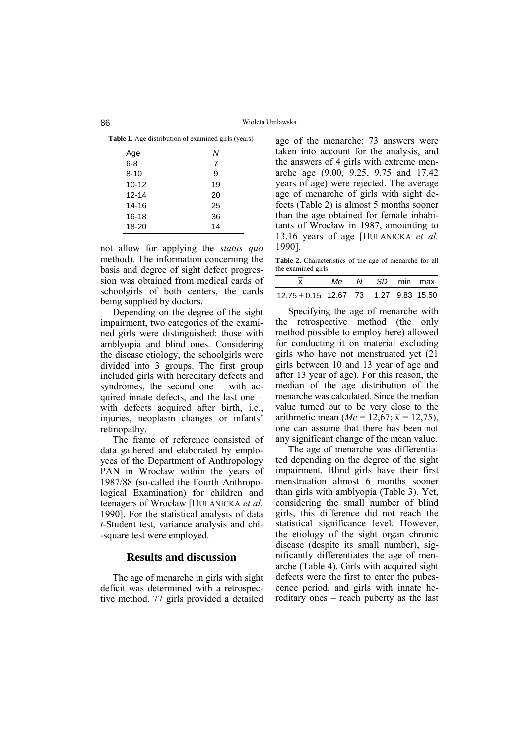**Table 1.** Age distribution of examined girls (years)

|           | Ν  |
|-----------|----|
| Age       |    |
| $6 - 8$   | 7  |
| $8 - 10$  | 9  |
| $10 - 12$ | 19 |
| $12 - 14$ | 20 |
| $14 - 16$ | 25 |
| $16 - 18$ | 36 |
| $18 - 20$ | 14 |

not allow for applying the *status quo* method). The information concerning the basis and degree of sight defect progression was obtained from medical cards of schoolgirls of both centers, the cards being supplied by doctors.

Depending on the degree of the sight impairment, two categories of the examined girls were distinguished: those with amblyopia and blind ones. Considering the disease etiology, the schoolgirls were divided into 3 groups. The first group included girls with hereditary defects and syndromes, the second one  $-$  with acquired innate defects, and the last one  $$ with defects acquired after birth, i.e., injuries, neoplasm changes or infants' retinopathy.

The frame of reference consisted of data gathered and elaborated by employees of the Department of Anthropology PAN in Wrocław within the years of 1987/88 (so-called the Fourth Anthropological Examination) for children and teenagers of Wrocław [HULANICKA *et al.* 1990]. For the statistical analysis of data *t*-Student test, variance analysis and chi- -square test were employed.

#### **Results and discussion**

The age of menarche in girls with sight deficit was determined with a retrospective method. 77 girls provided a detailed age of the menarche; 73 answers were taken into account for the analysis, and the answers of 4 girls with extreme menarche age (9.00, 9.25, 9.75 and 17.42 years of age) were rejected. The average age of menarche of girls with sight defects (Table 2) is almost 5 months sooner than the age obtained for female inhabitants of Wrocław in 1987, amounting to 13.16 years of age [HULANICKA *et al.* 1990].

**Table 2.** Characteristics of the age of menarche for all the examined girls

| the examined girls                        |  |                 |  |
|-------------------------------------------|--|-----------------|--|
|                                           |  | Me N SD min max |  |
| $12.75 \pm 0.15$ 12.67 73 1.27 9.83 15.50 |  |                 |  |

Specifying the age of menarche with the retrospective method (the only method possible to employ here) allowed for conducting it on material excluding girls who have not menstruated yet (21 girls between 10 and 13 year of age and after 13 year of age). For this reason, the median of the age distribution of the menarche was calculated. Since the median value turned out to be very close to the value turned out to be very close to the arithmetic mean  $Me = 12,67$ ;  $\bar{x} = 12,75$ ), one can assume that there has been not any significant change of the mean value.

The age of menarche was differentiated depending on the degree of the sight impairment. Blind girls have their first menstruation almost 6 months sooner than girls with amblyopia (Table 3). Yet, considering the small number of blind girls, this difference did not reach the statistical significance level. However, the etiology of the sight organ chronic disease (despite its small number), significantly differentiates the age of menarche (Table 4). Girls with acquired sight defects were the first to enter the pubescence period, and girls with innate hereditary ones  $-$  reach puberty as the last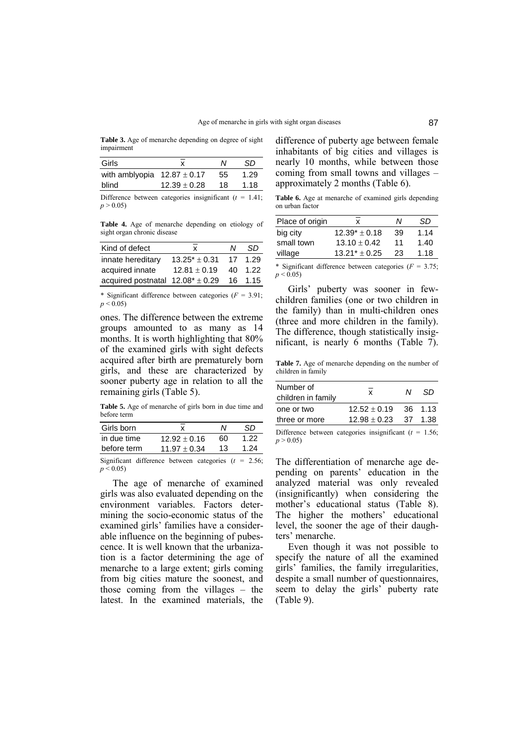**Table 3.** Age of menarche depending on degree of sight impairment

| Girls                           | x                | N  | SD   |
|---------------------------------|------------------|----|------|
| with amblyopia $12.87 \pm 0.17$ |                  | 55 | 1.29 |
| blind                           | $12.39 \pm 0.28$ | 18 | 1.18 |
| $\mathbf{r}$ $\alpha$           |                  |    |      |

Difference between categories insignificant  $(t = 1.41)$ ;  $p > 0.05$ 

**Table 4.** Age of menarche depending on etiology of sight organ chronic disease

| Kind of defect                        | x                  | N    | .SD  |
|---------------------------------------|--------------------|------|------|
| innate hereditary                     | $13.25^* \pm 0.31$ | - 17 | 1.29 |
| acquired innate                       | $12.81 \pm 0.19$   | 40   | 1.22 |
| acquired postnatal $12.08^* \pm 0.29$ |                    | 16   | 1.15 |

\* Significant difference between categories  $(F = 3.91)$ ;  $p \leq 0.05$ 

ones. The difference between the extreme groups amounted to as many as 14 months. It is worth highlighting that 80% of the examined girls with sight defects acquired after birth are prematurely born girls, and these are characterized by sooner puberty age in relation to all the remaining girls (Table 5).

**Table 5.** Age of menarche of girls born in due time and before term

| Girls born  | x                | N  | SD   |
|-------------|------------------|----|------|
| in due time | $12.92 \pm 0.16$ | 60 | 1.22 |
| before term | $11.97 \pm 0.34$ | 13 | 1 24 |
|             |                  |    |      |

Significant difference between categories (*t* = 2.56;  $p \le 0.05$ 

The age of menarche of examined girls was also evaluated depending on the environment variables. Factors determining the socio-economic status of the examined girls' families have a considerable influence on the beginning of pubescence. It is well known that the urbanization is a factor determining the age of menarche to a large extent; girls coming from big cities mature the soonest, and those coming from the villages  $-$  the latest. In the examined materials, the difference of puberty age between female inhabitants of big cities and villages is nearly 10 months, while between those coming from small towns and villages  $$ approximately 2 months (Table 6).

**Table 6.** Age at menarche of examined girls depending on urban factor

| Place of origin | x                  | Ν  | SD   |
|-----------------|--------------------|----|------|
| big city        | $12.39^* \pm 0.18$ | 39 | 1.14 |
| small town      | $13.10 \pm 0.42$   | 11 | 1.40 |
| village         | $13.21* + 0.25$    | 23 | 1.18 |
|                 |                    |    |      |

\* Significant difference between categories ( $F = 3.75$ ;  $p \le 0.05$ 

Girls' puberty was sooner in fewchildren families (one or two children in the family) than in multi-children ones (three and more children in the family). The difference, though statistically insignificant, is nearly 6 months (Table 7).

**Table 7.** Age of menarche depending on the number of children in family

| Number of<br>children in family | x                | M | .SD     |
|---------------------------------|------------------|---|---------|
| one or two                      | $12.52 + 0.19$   |   | 36 1.13 |
| three or more                   | $12.98 \pm 0.23$ |   | 37 1.38 |
|                                 |                  |   |         |

Difference between categories insignificant  $(t = 1.56)$ ;  $p > 0.05$ 

The differentiation of menarche age depending on parents' education in the analyzed material was only revealed (insignificantly) when considering the mother's educational status (Table 8). The higher the mothers' educational level, the sooner the age of their daughters' menarche.

Even though it was not possible to specify the nature of all the examined girls' families, the family irregularities, despite a small number of questionnaires, seem to delay the girls' puberty rate (Table 9).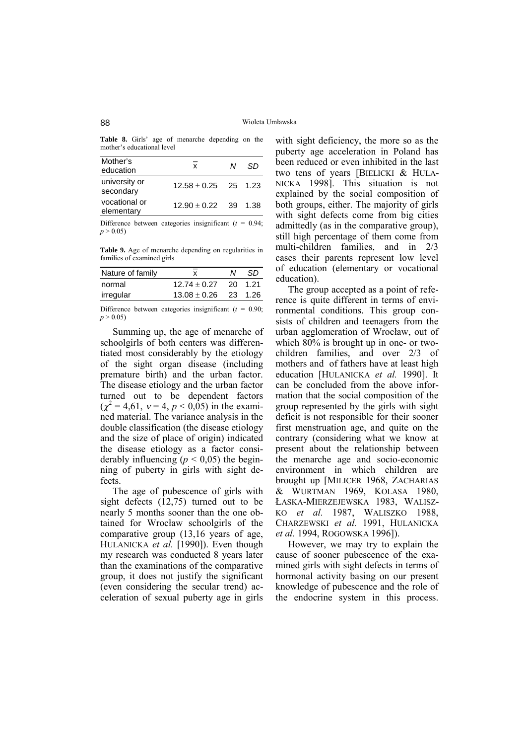Table 8. Girls' age of menarche depending on the mother's educational level

| x | N | .SD                                                  |
|---|---|------------------------------------------------------|
|   |   |                                                      |
|   |   |                                                      |
|   |   | $12.58 \pm 0.25$ 25 1.23<br>$12.90 \pm 0.22$ 39 1.38 |

Difference between categories insignificant  $(t = 0.94)$ ;  $p > 0.05$ 

**Table 9.** Age of menarche depending on regularities in families of examined girls

| Nature of family | x                        | N | .SD     |
|------------------|--------------------------|---|---------|
| normal           | $12.74 \pm 0.27$         |   | 20 1.21 |
| irregular        | $13.08 \pm 0.26$ 23 1.26 |   |         |
|                  |                          |   |         |

Difference between categories insignificant  $(t = 0.90)$ ;  $p > 0.05$ 

Summing up, the age of menarche of schoolgirls of both centers was differentiated most considerably by the etiology of the sight organ disease (including premature birth) and the urban factor. The disease etiology and the urban factor turned out to be dependent factors  $(\chi^2 = 4.61, \nu = 4, p < 0.05)$  in the examined material. The variance analysis in the double classification (the disease etiology and the size of place of origin) indicated the disease etiology as a factor considerably influencing ( $p < 0.05$ ) the beginning of puberty in girls with sight defects.

The age of pubescence of girls with sight defects  $(12.75)$  turned out to be nearly 5 months sooner than the one obtained for Wrocław schoolgirls of the comparative group (13,16 years of age, HULANICKA *et al.* [1990]). Even though my research was conducted 8 years later than the examinations of the comparative group, it does not justify the significant (even considering the secular trend) acceleration of sexual puberty age in girls with sight deficiency, the more so as the puberty age acceleration in Poland has been reduced or even inhibited in the last two tens of years [BIELICKI & HULA-NICKA 1998]. This situation is not explained by the social composition of both groups, either. The majority of girls with sight defects come from big cities admittedly (as in the comparative group), still high percentage of them come from multi-children families, and in 2/3 cases their parents represent low level of education (elementary or vocational education).

The group accepted as a point of reference is quite different in terms of environmental conditions. This group consists of children and teenagers from the urban agglomeration of Wrocław, out of which 80% is brought up in one- or twochildren families, and over 2/3 of mothers and of fathers have at least high education [HULANICKA *et al.* 1990]. It can be concluded from the above information that the social composition of the group represented by the girls with sight deficit is not responsible for their sooner first menstruation age, and quite on the contrary (considering what we know at present about the relationship between the menarche age and socio-economic environment in which children are brought up [MILICER 1968, ZACHARIAS & WURTMAN 1969, KOLASA 1980, ŁASKA-MIERZEJEWSKA 1983, WALISZ-KO *et al.* 1987, WALISZKO 1988, CHARZEWSKI *et al.* 1991, HULANICKA *et al.* 1994, ROGOWSKA 1996]).

However, we may try to explain the cause of sooner pubescence of the examined girls with sight defects in terms of hormonal activity basing on our present knowledge of pubescence and the role of the endocrine system in this process.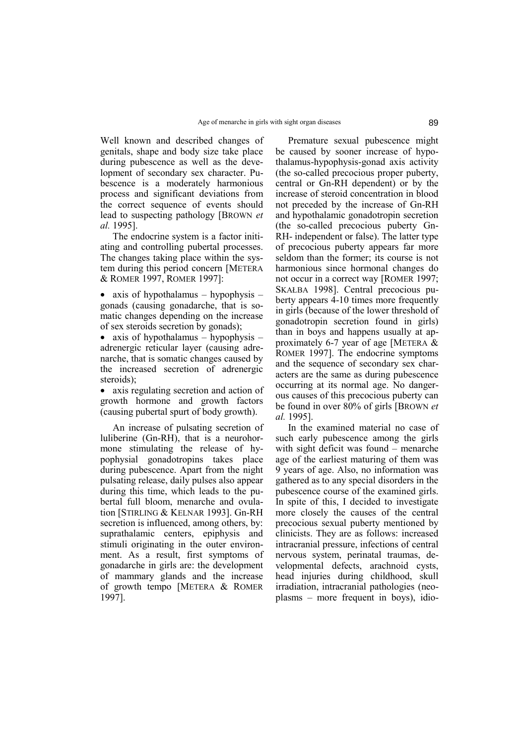Well known and described changes of genitals, shape and body size take place during pubescence as well as the development of secondary sex character. Pubescence is a moderately harmonious process and significant deviations from the correct sequence of events should lead to suspecting pathology [BROWN *et al.* 1995].

The endocrine system is a factor initiating and controlling pubertal processes. The changes taking place within the system during this period concern [METERA & ROMER 1997, ROMER 1997]:

• axis of hypothalamus  $-$  hypophysis  $$ gonads (causing gonadarche, that is somatic changes depending on the increase of sex steroids secretion by gonads);

• axis of hypothalamus  $-$  hypophysis  $$ adrenergic reticular layer (causing adrenarche, that is somatic changes caused by the increased secretion of adrenergic steroids);

• axis regulating secretion and action of growth hormone and growth factors (causing pubertal spurt of body growth).

An increase of pulsating secretion of luliberine (Gn-RH), that is a neurohormone stimulating the release of hypophysial gonadotropins takes place during pubescence. Apart from the night pulsating release, daily pulses also appear during this time, which leads to the pubertal full bloom, menarche and ovulation [STIRLING & KELNAR 1993]. Gn-RH secretion is influenced, among others, by: suprathalamic centers, epiphysis and stimuli originating in the outer environment. As a result, first symptoms of gonadarche in girls are: the development of mammary glands and the increase of growth tempo [METERA & ROMER 1997].

Premature sexual pubescence might be caused by sooner increase of hypothalamus-hypophysis-gonad axis activity (the so-called precocious proper puberty, central or Gn-RH dependent) or by the increase of steroid concentration in blood not preceded by the increase of Gn-RH and hypothalamic gonadotropin secretion (the so-called precocious puberty Gn-RH- independent or false). The latter type of precocious puberty appears far more seldom than the former; its course is not harmonious since hormonal changes do not occur in a correct way [ROMER 1997; SKAŁBA 1998]. Central precocious puberty appears 4-10 times more frequently in girls (because of the lower threshold of gonadotropin secretion found in girls) than in boys and happens usually at approximately 6-7 year of age [METERA & ROMER 1997]. The endocrine symptoms and the sequence of secondary sex characters are the same as during pubescence occurring at its normal age. No dangerous causes of this precocious puberty can be found in over 80% of girls [BROWN *et al.* 1995].

In the examined material no case of such early pubescence among the girls with sight deficit was found  $-$  menarche age of the earliest maturing of them was 9 years of age. Also, no information was gathered as to any special disorders in the pubescence course of the examined girls. In spite of this, I decided to investigate more closely the causes of the central precocious sexual puberty mentioned by clinicists. They are as follows: increased intracranial pressure, infections of central nervous system, perinatal traumas, developmental defects, arachnoid cysts, head injuries during childhood, skull irradiation, intracranial pathologies (neo $plasms$  – more frequent in boys), idio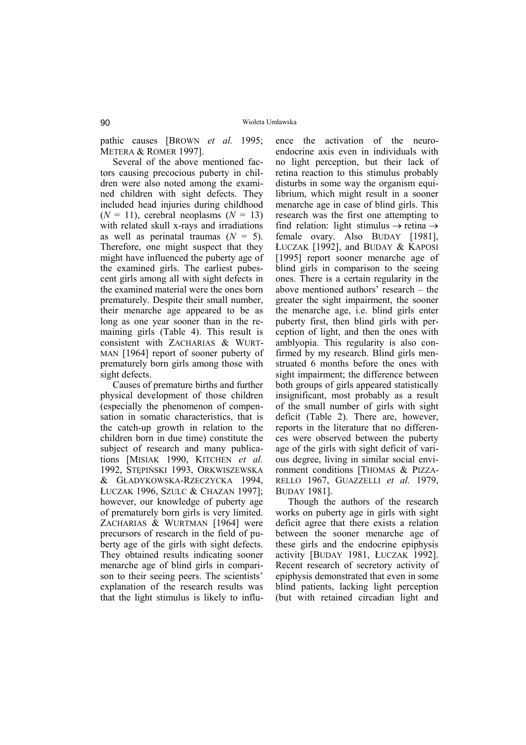pathic causes [BROWN *et al.* 1995; METERA & ROMER 1997].

Several of the above mentioned factors causing precocious puberty in children were also noted among the examined children with sight defects. They included head injuries during childhood  $(N = 11)$ , cerebral neoplasms  $(N = 13)$ with related skull x-rays and irradiations as well as perinatal traumas (*N* = 5). Therefore, one might suspect that they might have influenced the puberty age of the examined girls. The earliest pubescent girls among all with sight defects in the examined material were the ones born prematurely. Despite their small number, their menarche age appeared to be as long as one year sooner than in the remaining girls (Table 4). This result is consistent with ZACHARIAS & WURT-MAN [1964] report of sooner puberty of prematurely born girls among those with sight defects.

Causes of premature births and further physical development of those children (especially the phenomenon of compensation in somatic characteristics, that is the catch-up growth in relation to the children born in due time) constitute the subject of research and many publications [MISIAK 1990, KITCHEN *et al.* 1992, STĘPIŃSKI 1993, ORKWISZEWSKA & GŁADYKOWSKA-RZECZYCKA 1994, ŁUCZAK 1996, SZULC & CHAZAN 1997]; however, our knowledge of puberty age of prematurely born girls is very limited. ZACHARIAS & WURTMAN [1964] were precursors of research in the field of puberty age of the girls with sight defects. They obtained results indicating sooner menarche age of blind girls in comparison to their seeing peers. The scientists' explanation of the research results was that the light stimulus is likely to influence the activation of the neuroendocrine axis even in individuals with no light perception, but their lack of retina reaction to this stimulus probably disturbs in some way the organism equilibrium, which might result in a sooner menarche age in case of blind girls. This research was the first one attempting to find relation: light stimulus  $\rightarrow$  retina  $\rightarrow$ female ovary. Also BUDAY [1981], ŁUCZAK [1992], and BUDAY & KAPOSI [1995] report sooner menarche age of blind girls in comparison to the seeing ones. There is a certain regularity in the above mentioned authors' research  $-$  the greater the sight impairment, the sooner the menarche age, i.e. blind girls enter puberty first, then blind girls with perception of light, and then the ones with amblyopia. This regularity is also confirmed by my research. Blind girls menstruated 6 months before the ones with sight impairment; the difference between both groups of girls appeared statistically insignificant, most probably as a result of the small number of girls with sight deficit (Table 2). There are, however, reports in the literature that no differences were observed between the puberty age of the girls with sight deficit of various degree, living in similar social environment conditions [THOMAS & PIZZA-RELLO 1967, GUAZZELLI *et al.* 1979, BUDAY 1981].

Though the authors of the research works on puberty age in girls with sight deficit agree that there exists a relation between the sooner menarche age of these girls and the endocrine epiphysis activity [BUDAY 1981, ŁUCZAK 1992]. Recent research of secretory activity of epiphysis demonstrated that even in some blind patients, lacking light perception (but with retained circadian light and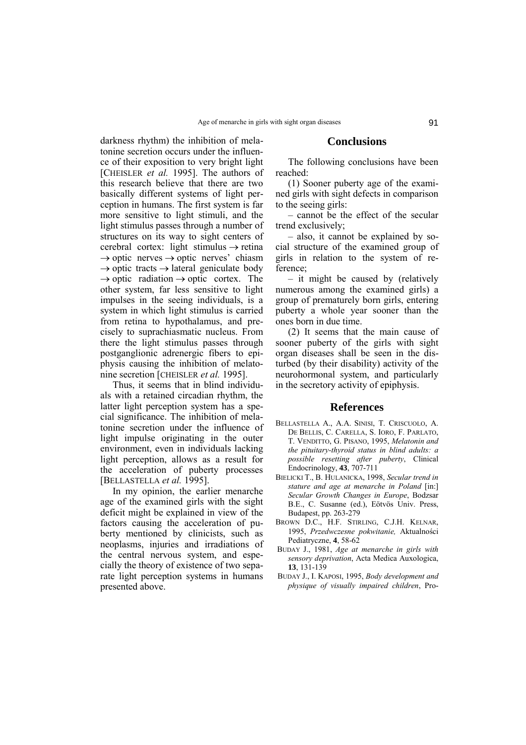darkness rhythm) the inhibition of melatonine secretion occurs under the influence of their exposition to very bright light [CHEISLER *et al.* 1995]. The authors of this research believe that there are two basically different systems of light perception in humans. The first system is far more sensitive to light stimuli, and the light stimulus passes through a number of structures on its way to sight centers of cerebral cortex: light stimulus  $\rightarrow$  retina  $\rightarrow$  optic nerves  $\rightarrow$  optic nerves' chiasm  $\rightarrow$  optic tracts  $\rightarrow$  lateral geniculate body  $\rightarrow$  optic radiation  $\rightarrow$  optic cortex. The other system, far less sensitive to light impulses in the seeing individuals, is a system in which light stimulus is carried from retina to hypothalamus, and precisely to suprachiasmatic nucleus. From there the light stimulus passes through postganglionic adrenergic fibers to epiphysis causing the inhibition of melatonine secretion [CHEISLER *et al.* 1995].

Thus, it seems that in blind individuals with a retained circadian rhythm, the latter light perception system has a special significance. The inhibition of melatonine secretion under the influence of light impulse originating in the outer environment, even in individuals lacking light perception, allows as a result for the acceleration of puberty processes [BELLASTELLA *et al.* 1995].

In my opinion, the earlier menarche age of the examined girls with the sight deficit might be explained in view of the factors causing the acceleration of puberty mentioned by clinicists, such as neoplasms, injuries and irradiations of the central nervous system, and especially the theory of existence of two separate light perception systems in humans presented above.

### **Conclusions**

The following conclusions have been reached:

(1) Sooner puberty age of the examined girls with sight defects in comparison to the seeing girls:

– cannot be the effect of the secular trend exclusively;

– also, it cannot be explained by social structure of the examined group of girls in relation to the system of reference;

 $-$  it might be caused by (relatively numerous among the examined girls) a group of prematurely born girls, entering puberty a whole year sooner than the ones born in due time.

(2) It seems that the main cause of sooner puberty of the girls with sight organ diseases shall be seen in the disturbed (by their disability) activity of the neurohormonal system, and particularly in the secretory activity of epiphysis.

#### **References**

- BELLASTELLA A., A.A. SINISI, T. CRISCUOLO, A. DE BELLIS, C. CARELLA, S. IORO, F. PARLATO, T. VENDITTO, G. PISANO, 1995, *Melatonin and the pituitary-thyroid status in blind adults: a possible resetting after puberty*, Clinical Endocrinology, **43**, 707-711
- BIELICKI T., B. HULANICKA, 1998, *Secular trend in stature and age at menarche in Poland* [in:] *Secular Growth Changes in Europe*, Bodzsar B.E., C. Susanne (ed.), Eötvös Univ. Press, Budapest, pp. 263-279
- BROWN D.C., H.F. STIRLING, C.J.H. KELNAR, 1995, *Przedwczesne pokwitanie,* Aktualności Pediatryczne, **4**, 58-62
- BUDAY J., 1981, *Age at menarche in girls with sensory deprivation*, Acta Medica Auxologica, **13**, 131-139
- BUDAY J., I. KAPOSI, 1995, *Body development and physique of visually impaired children*, Pro-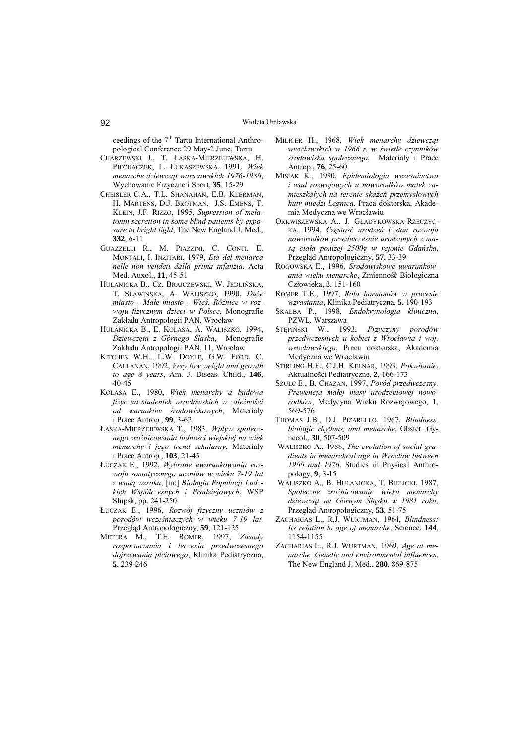ceedings of the  $7<sup>th</sup>$  Tartu International Anthropological Conference 29 May-2 June, Tartu

- CHARZEWSKI J., T. ŁASKA-MIERZEJEWSKA, H. PIECHACZEK, L. ŁUKASZEWSKA, 1991, *Wiek menarche dziewcząt warszawskich 1976-1986*, Wychowanie Fizyczne i Sport, **35**, 15-29
- CHEISLER C.A., T.L. SHANAHAN, E.B. KLERMAN, H. MARTENS, D.J. BROTMAN, J.S. EMENS, T. KLEIN, J.F. RIZZO, 1995, *Supression of melatonin secretion in some blind patients by exposure to bright light*, The New England J. Med., **332**, 6-11
- GUAZZELLI R., M. PIAZZINI, C. CONTI, E. MONTALI, I. INZITARI, 1979, *Eta del menarca nelle non vendeti dalla prima infanzia*, Acta Med. Auxol., **11**, 45-51
- HULANICKA B., CZ. BRAJCZEWSKI, W. JEDLIŃSKA, T. SŁAWIŃSKA, A. WALISZKO, 1990, *Duże miasto - Małe miasto - Wieś. RÛżnice w rozwoju fizycznym dzieci w Polsce*, Monografie Zakładu Antropologii PAN, Wrocław
- HULANICKA B., E. KOLASA, A. WALISZKO, 1994, *Dziewczęta z GÛrnego Śląska*, Monografie Zakładu Antropologii PAN, 11, Wrocław
- KITCHEN W.H., L.W. DOYLE, G.W. FORD, C. CALLANAN, 1992, *Very low weight and growth to age 8 years*, Am. J. Diseas. Child., **146**, 40-45
- KOLASA E., 1980, *Wiek menarchy a budowa fizyczna studentek wrocławskich w zależności od warunkÛw środowiskowych*, Materiały i Prace Antrop., **99**, 3-62
- ŁASKA-MIERZEJEWSKA T., 1983, *Wpływ społecznego zrÛżnicowania ludności wiejskiej na wiek menarchy i jego trend sekularny*, Materiały i Prace Antrop., **103**, 21-45
- ŁUCZAK E., 1992, *Wybrane uwarunkowania rozwoju somatycznego uczniów w wieku 7-19 lat z wadą wzroku*, [in:] *Biologia Populacji Ludzkich WspÛłczesnych i Pradziejowych*, WSP Słupsk, pp. 241-250
- ŁUCZAK E., 1996, Rozwój fizyczny uczniów z *porodÛw wcześniaczych w wieku 7-19 lat,* Przegląd Antropologiczny, **59**, 121-125
- METERA M., T.E. ROMER, 1997, *Zasady rozpoznawania i leczenia przedwczesnego dojrzewania płciowego*, Klinika Pediatryczna, **5**, 239-246
- MILICER H., 1968, *Wiek menarchy dziewcząt wrocławskich w 1966 r. w świetle czynników środowiska społecznego*, Materiały i Prace Antrop., **76**, 25-60
- MISIAK K., 1990, *Epidemiologia wcześniactwa i wad rozwojowych u noworodków matek zamieszkałych na terenie skażeń przemysłowych huty miedzi Legnica*, Praca doktorska, Akademia Medyczna we Wrocławiu
- ORKWISZEWSKA A., J. GŁADYKOWSKA-RZECZYC-KA, 1994, *Częstość urodzeń i stan rozwoju noworodkÛw przedwcześnie urodzonych z masą ciała poniżej 2500g w rejonie Gdańska*, Przegląd Antropologiczny, **57**, 33-39
- ROGOWSKA E., 1996, *Środowiskowe uwarunkowania wieku menarche*, Zmienność Biologiczna Człowieka, **3**, 151-160
- ROMER T.E., 1997, Rola hormonów w procesie *wzrastania*, Klinika Pediatryczna, **5**, 190-193
- SKAŁBA P., 1998, *Endokrynologia kliniczna*, PZWL, Warszawa
- STĘPIŃSKI W., 1993, Przyczyny porodów *przedwczesnych u kobiet z Wrocławia i woj. wrocławskiego*, Praca doktorska, Akademia Medyczna we Wrocławiu
- STIRLING H.F., C.J.H. KELNAR, 1993, *Pokwitanie*, Aktualności Pediatryczne, **2**, 166-173
- SZULC E., B. CHAZAN, 1997, Poród przedwczesny. *Prewencja małej masy urodzeniowej noworodkÛw*, Medycyna Wieku Rozwojowego, **1**, 569-576
- THOMAS J.B., D.J. PIZARELLO, 1967, *Blindness, biologic rhythms, and menarche*, Obstet. Gynecol., **30**, 507-509
- WALISZKO A., 1988, *The evolution of social gradients in menarcheal age in Wrocław between 1966 and 1976*, Studies in Physical Anthropology, **9**, 3-15
- WALISZKO A., B. HULANICKA, T. BIELICKI, 1987, *Społeczne zrÛżnicowanie wieku menarchy dziewcząt na GÛrnym Śląsku w 1981 roku*, Przegląd Antropologiczny, **53**, 51-75
- ZACHARIAS L., R.J. WURTMAN, 1964, *Blindness: Its relation to age of menarche*, Science, **144**, 1154-1155
- ZACHARIAS L., R.J. WURTMAN, 1969, *Age at menarche. Genetic and environmental influences*, The New England J. Med., **280**, 869-875